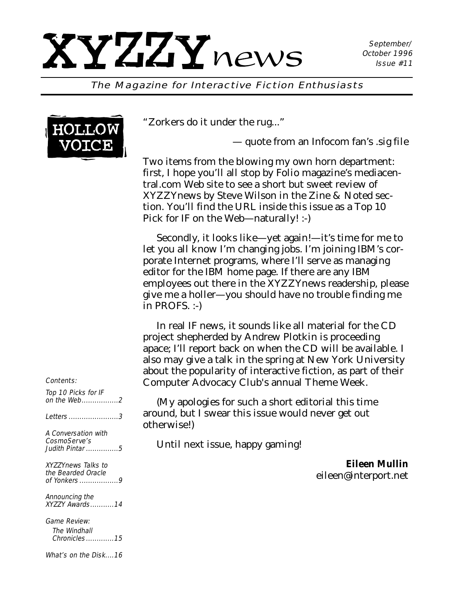#### The Magazine for Interactive Fiction Enthusiasts



"Zorkers do it under the rug..."

— quote from an Infocom fan's .sig file

Two items from the blowing my own horn department: first, I hope you'll all stop by Folio magazine's mediacentral.com Web site to see a short but sweet review of *XYZZYnews* by Steve Wilson in the Zine & Noted section. You'll find the URL inside this issue as a Top 10 Pick for IF on the Web—naturally! :-)

Secondly, it looks like—yet again!—it's time for me to let you all know I'm changing jobs. I'm joining IBM's corporate Internet programs, where I'll serve as managing editor for the IBM home page. If there are any IBM employees out there in the *XYZZYnews* readership, please give me a holler—you should have no trouble finding me in PROFS. :-)

In real IF news, it sounds like all material for the CD project shepherded by Andrew Plotkin is proceeding apace; I'll report back on when the CD will be available. I also may give a talk in the spring at New York University about the popularity of interactive fiction, as part of their Computer Advocacy Club's annual Theme Week.

(My apologies for such a short editorial this time around, but I swear this issue would never get out otherwise!)

Until next issue, happy gaming!

*Eileen Mullin eileen@interport.net*

#### Contents:

Top 10 Picks for IF on the Web.................2 Letters .......................3 A Conversation with CosmoServe's Judith Pintar ...............5 XYZZYnews Talks to the Bearded Oracle of Yonkers ..................9 Announcing the XYZZY Awards...........14 Game Review: The Windhall Chronicles.............15

What's on the Disk....16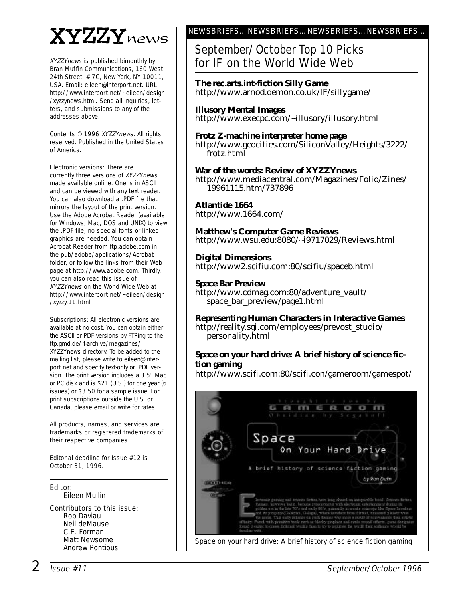# XYZZYnews

XYZZYnews is published bimonthly by Bran Muffin Communications, 160 West 24th Street, # 7C, New York, NY 10011, USA. Email: eileen@interport.net. URL: http://www.interport.net/~eileen/design /xyzzynews.html. Send all inquiries, letters, and submissions to any of the addresses above.

Contents © 1996 XYZZYnews. All rights reserved. Published in the United States of America.

Electronic versions: There are currently three versions of XYZZYnews made available online. One is in ASCII and can be viewed with any text reader. You can also download a .PDF file that mirrors the layout of the print version. Use the Adobe Acrobat Reader (available for Windows, Mac, DOS and UNIX) to view the .PDF file; no special fonts or linked graphics are needed. You can obtain Acrobat Reader from ftp.adobe.com in the pub/adobe/applications/Acrobat folder, or follow the links from their Web page at http://www.adobe.com. Thirdly, you can also read this issue of XYZZYnews on the World Wide Web at http://www.interport.net/~eileen/design /xyzzy.11.html

Subscriptions: All electronic versions are available at no cost. You can obtain either the ASCII or PDF versions by FTPing to the ftp.gmd.de/if-archive/magazines/ XYZZYnews directory. To be added to the mailing list, please write to eileen@interport.net and specify text-only or .PDF version. The print version includes a 3.5" Mac or PC disk and is \$21 (U.S.) for one year (6 issues) or \$3.50 for a sample issue. For print subscriptions outside the U.S. or Canada, please email or write for rates.

All products, names, and ser vices are trademarks or registered trademarks of their respective companies.

Editorial deadline for Issue #12 is October 31, 1996.

Editor: Eileen Mullin

Contributors to this issue: Rob Daviau Neil deMause C.E. Forman Matt Newsome Andrew Pontious

#### NEWSBRIEFS…NEWSBRIEFS…NEWSBRIEFS…NEWSBRIEFS…

### September/October Top 10 Picks for IF on the World Wide Web

**The rec.arts.int-fiction Silly Game** http://www.arnod.demon.co.uk/IF/sillygame/

**Illusory Mental Images** http://www.execpc.com/~illusory/illusory.html

#### **Frotz Z-machine interpreter home page** http://www.geocities.com/SiliconValley/Heights/3222/ frotz.html

#### **War of the words: Review of XYZZYnews**

http://www.mediacentral.com/Magazines/Folio/Zines/ 19961115.htm/737896

#### **Atlantide 1664**

http://www.1664.com/

#### **Matthew's Computer Game Reviews** http://www.wsu.edu:8080/~i9717029/Reviews.html

**Digital Dimensions** http://www2.scifiu.com:80/scifiu/spaceb.html

#### **Space Bar Preview**

http://www.cdmag.com:80/adventure\_vault/ space\_bar\_preview/page1.html

**Representing Human Characters in Interactive Games** http://reality.sgi.com/employees/prevost\_studio/ personality.html

#### **Space on your hard drive: A brief history of science fiction gaming**

http://www.scifi.com:80/scifi.con/gameroom/gamespot/

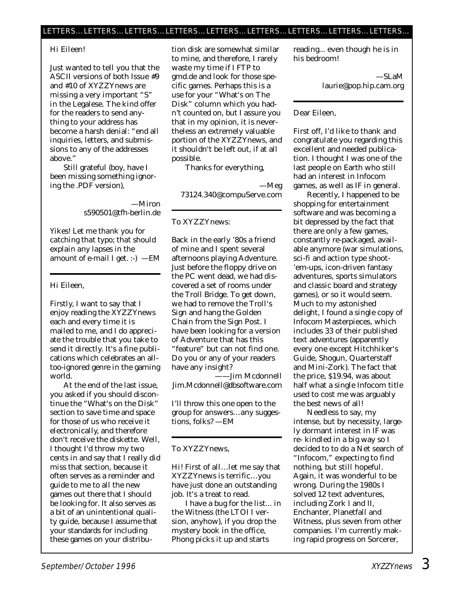#### LETTERS…LETTERS…LETTERS…LETTERS…LETTERS…LETTERS…LETTERS…LETTERS…LETTERS…

#### Hi Eileen!

Just wanted to tell you that the ASCII versions of both Issue #9 and #10 of *XYZZYnews* are missing a very important "S" in the Legalese. The kind offer for the readers to send anything to your address has become a harsh denial: "end all inquiries, letters, and submissions to any of the addresses above."

Still grateful (boy, have I been missing something ignoring the .PDF version),

> —Miron s590501@tfh-berlin.de

*Yikes! Let me thank you for catching that typo; that should explain any lapses in the amount of e-mail I get. :-) —EM*

#### Hi Eileen,

Firstly, I want to say that I enjoy reading the *XYZZYnews* each and every time it is mailed to me, and I do appreciate the trouble that you take to send it directly. It's a fine publications which celebrates an alltoo-ignored genre in the gaming world.

At the end of the last issue, you asked if you should discontinue the "What's on the Disk" section to save time and space for those of us who receive it electronically, and therefore don't receive the diskette. Well, I thought I'd throw my two cents in and say that I really did miss that section, because it often serves as a reminder and guide to me to all the new games out there that I should be looking for. It also serves as a bit of an unintentional quality guide, because I assume that your standards for including these games on your distribution disk are somewhat similar to mine, and therefore, I rarely waste my time if I FTP to gmd.de and look for those specific games. Perhaps this is a use for your "What's on The Disk" column which you hadn't counted on, but I assure you that in my opinion, it is nevertheless an extremely valuable portion of the *XYZZYnews,* and it shouldn't be left out, if at all possible.

Thanks for everything,

—Meg 73124.340@compuServe.com

#### To XYZZYnews:

Back in the early '80s a friend of mine and I spent several afternoons playing Adventure. Just before the floppy drive on the PC went dead, we had discovered a set of rooms under the Troll Bridge. To get down, we had to remove the Troll's Sign and hang the Golden Chain from the Sign Post. I have been looking for a version of Adventure that has this "feature" but can not find one. Do you or any of your readers have any insight?

——Jim Mcdonnell Jim.Mcdonnell@dbsoftware.com

*I'll throw this one open to the group for answers…any suggestions, folks? —EM*

#### To *XYZZYnews,*

Hi! First of all…let me say that *XYZZYnews* is terrific…you have just done an outstanding job. It's a treat to read.

I have a bug for the list... in the Witness (the LTOI I version, anyhow), if you drop the mystery book in the office, Phong picks it up and starts

reading... even though he is in his bedroom!

> —SLaM laurie@pop.hip.cam.org

#### Dear Eileen,

First off, I'd like to thank and congratulate you regarding this excellent and needed publication. I thought I was one of the last people on Earth who still had an interest in Infocom games, as well as IF in general.

Recently, I happened to be shopping for entertainment software and was becoming a bit depressed by the fact that there are only a few games, constantly re-packaged, available anymore (war simulations, sci-fi and action type shoot- 'em-ups, icon-driven fantasy adventures, sports simulators and classic board and strategy games), or so it would seem. Much to my astonished delight, I found a single copy of Infocom Masterpieces, which includes 33 of their published text adventures (apparently every one except Hitchhiker's Guide, Shogun, Quarterstaff and Mini-Zork). The fact that the price, \$19.94, was about half what a single Infocom title used to cost me was arguably the best news of all!

Needless to say, my intense, but by necessity, largely dormant interest in IF was re- kindled in a big way so I decided to to do a Net search of "Infocom," expecting to find nothing, but still hopeful. Again, it was wonderful to be wrong. During the 1980s I solved 12 text adventures, including Zork I and II, Enchanter, Planetfall and Witness, plus seven from other companies. I'm currently making rapid progress on Sorcerer,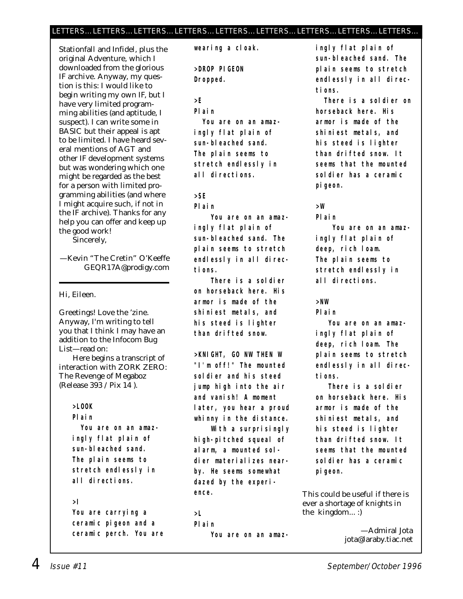#### LETTERS…LETTERS…LETTERS…LETTERS…LETTERS…LETTERS…LETTERS…LETTERS…LETTERS…

Stationfall and Infidel, plus the original Adventure, which I downloaded from the glorious IF archive. Anyway, my question is this: I would like to begin writing my own IF, but I have very limited programming abilities (and aptitude, I suspect). I can write some in BASIC but their appeal is apt to be limited. I have heard several mentions of AGT and other IF development systems but was wondering which one might be regarded as the best for a person with limited programming abilities (and where I might acquire such, if not in the IF archive). Thanks for any help you can offer and keep up the good work!

Sincerely,

—Kevin "The Cretin" O'Keeffe GEQR17A@prodigy.com

Hi, Eileen.

Greetings! Love the 'zine. Anyway, I'm writing to tell you that I think I may have an addition to the Infocom Bug List—read on:

Here begins a transcript of interaction with ZORK ZERO: The Revenge of Megaboz (Release 393 / Pix 14 ).

#### **>LOOK**

**Plain**

**You are on an amazingly flat plain of sun-bleached sand. The plain seems to stretch endlessly in all directions.**

#### **>I**

**You are carrying a ceramic pigeon and a ceramic perch. You are** **wearing a cloak.**

**>DROP PIGEON Dropped.**

**>E**

**Plain**

**You are on an amazingly flat plain of sun-bleached sand. The plain seems to stretch endlessly in all directions.**

**>SE**

**Plain**

**You are on an amazingly flat plain of sun-bleached sand. The plain seems to stretch endlessly in all directions.**

**There is a soldier on horseback here. His armor is made of the shiniest metals, and his steed is lighter than drifted snow.**

**>KNIGHT, GO NW THEN W "I'm off!" The mounted soldier and his steed jump high into the air and vanish! A moment later, you hear a proud whinny in the distance.**

**With a surprisingly high-pitched squeal of alarm, a mounted soldier materializes nearby. He seems somewhat dazed by the experience.**

#### **>L**

**Plain You are on an amaz-** **ingly flat plain of sun-bleached sand. The plain seems to stretch endlessly in all directions.**

**There is a soldier on horseback here. His armor is made of the shiniest metals, and his steed is lighter than drifted snow. It seems that the mounted soldier has a ceramic pigeon.**

#### **>W**

**Plain**

**You are on an amazingly flat plain of deep, rich loam. The plain seems to stretch endlessly in all directions.**

#### **>NW**

**Plain**

**You are on an amazingly flat plain of deep, rich loam. The plain seems to stretch endlessly in all directions.**

**There is a soldier on horseback here. His armor is made of the shiniest metals, and his steed is lighter than drifted snow. It seems that the mounted soldier has a ceramic pigeon.**

This could be useful if there is ever a shortage of knights in the kingdom... :)

> —Admiral Jota jota@laraby.tiac.net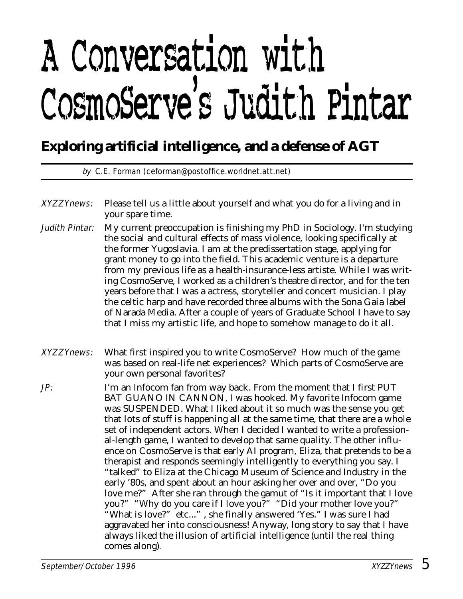# A Conversation with CosmoServe's Judith Pintar

### **Exploring artificial intelligence, and a defense of AGT**

by C.E. Forman (ceforman@postoffice.worldnet.att.net)

- XYZZYnews: Please tell us a little about yourself and what you do for a living and in your spare time.
- Judith Pintar: My current preoccupation is finishing my PhD in Sociology. I'm studying the social and cultural effects of mass violence, looking specifically at the former Yugoslavia. I am at the predissertation stage, applying for grant money to go into the field. This academic venture is a departure from my previous life as a health-insurance-less artiste. While I was writing CosmoServe, I worked as a children's theatre director, and for the ten years before that I was a actress, storyteller and concert musician. I play the celtic harp and have recorded three albums with the Sona Gaia label of Narada Media. After a couple of years of Graduate School I have to say that I miss my artistic life, and hope to somehow manage to do it all.
- XYZZYnews: What first inspired you to write CosmoServe? How much of the game was based on real-life net experiences? Which parts of CosmoServe are your own personal favorites?
- JP: I'm an Infocom fan from way back. From the moment that I first PUT BAT GUANO IN CANNON, I was hooked. My favorite Infocom game was SUSPENDED. What I liked about it so much was the sense you get that lots of stuff is happening all at the same time, that there are a whole set of independent actors. When I decided I wanted to write a professional-length game, I wanted to develop that same quality. The other influence on CosmoServe is that early AI program, Eliza, that pretends to be a therapist and responds seemingly intelligently to everything you say. I "talked" to Eliza at the Chicago Museum of Science and Industry in the early '80s, and spent about an hour asking her over and over, "Do you love me?" After she ran through the gamut of "Is it important that I love you?" "Why do you care if I love you?" "Did your mother love you?" "What is love?" etc..." , she finally answered 'Yes." I was sure I had aggravated her into consciousness! Anyway, long story to say that I have always liked the illusion of artificial intelligence (until the real thing comes along).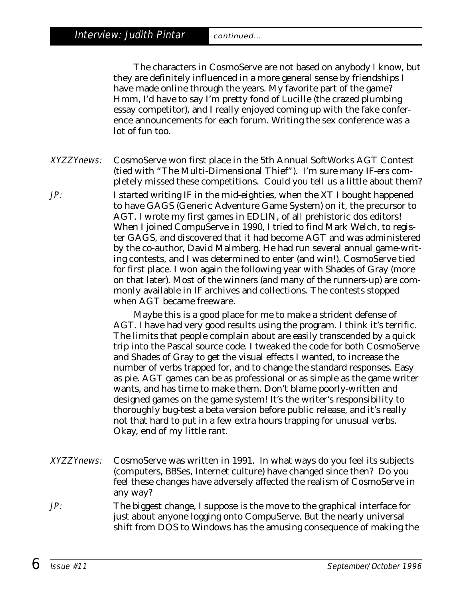Interview: Judith Pintar continued...

The characters in CosmoServe are not based on anybody I know, but they are definitely influenced in a more general sense by friendships I have made online through the years. My favorite part of the game? Hmm, I'd have to say I'm pretty fond of Lucille (the crazed plumbing essay competitor), and I really enjoyed coming up with the fake conference announcements for each forum. Writing the sex conference was a lot of fun too.

XYZZYnews: CosmoServe won first place in the 5th Annual SoftWorks AGT Contest (tied with "The Multi-Dimensional Thief"). I'm sure many IF-ers completely missed these competitions. Could you tell us a little about them?

JP: I started writing IF in the mid-eighties, when the XT I bought happened to have GAGS (Generic Adventure Game System) on it, the precursor to AGT. I wrote my first games in EDLIN, of all prehistoric dos editors! When I joined CompuServe in 1990, I tried to find Mark Welch, to register GAGS, and discovered that it had become AGT and was administered by the co-author, David Malmberg. He had run several annual game-writing contests, and I was determined to enter (and win!). CosmoServe tied for first place. I won again the following year with Shades of Gray (more on that later). Most of the winners (and many of the runners-up) are commonly available in IF archives and collections. The contests stopped when AGT became freeware.

> Maybe this is a good place for me to make a strident defense of AGT. I have had very good results using the program. I think it's terrific. The limits that people complain about are easily transcended by a quick trip into the Pascal source code. I tweaked the code for both CosmoServe and Shades of Gray to get the visual effects I wanted, to increase the number of verbs trapped for, and to change the standard responses. Easy as pie. AGT games can be as professional or as simple as the game writer wants, and has time to make them. Don't blame poorly-written and designed games on the game system! It's the writer's responsibility to thoroughly bug-test a beta version before public release, and it's really not that hard to put in a few extra hours trapping for unusual verbs. Okay, end of my little rant.

- XYZZYnews: CosmoServe was written in 1991. In what ways do you feel its subjects (computers, BBSes, Internet culture) have changed since then? Do you feel these changes have adversely affected the realism of CosmoServe in any way?
- JP: The biggest change, I suppose is the move to the graphical interface for just about anyone logging onto CompuServe. But the nearly universal shift from DOS to Windows has the amusing consequence of making the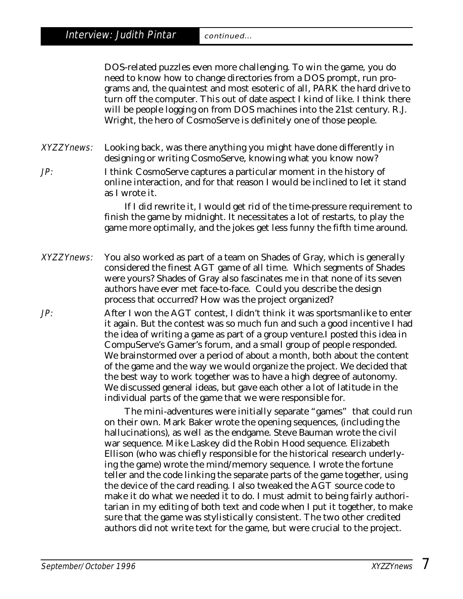DOS-related puzzles even more challenging. To win the game, you do need to know how to change directories from a DOS prompt, run programs and, the quaintest and most esoteric of all, PARK the hard drive to turn off the computer. This out of date aspect I kind of like. I think there will be people logging on from DOS machines into the 21st century. R.J. Wright, the hero of CosmoServe is definitely one of those people.

XYZZYnews: Looking back, was there anything you might have done differently in designing or writing CosmoServe, knowing what you know now?

JP: I think CosmoServe captures a particular moment in the history of online interaction, and for that reason I would be inclined to let it stand as I wrote it.

> If I did rewrite it, I would get rid of the time-pressure requirement to finish the game by midnight. It necessitates a lot of restarts, to play the game more optimally, and the jokes get less funny the fifth time around.

- XYZZYnews: You also worked as part of a team on Shades of Gray, which is generally considered the finest AGT game of all time. Which segments of Shades were yours? Shades of Gray also fascinates me in that none of its seven authors have ever met face-to-face. Could you describe the design process that occurred? How was the project organized?
- JP: After I won the AGT contest, I didn't think it was sportsmanlike to enter it again. But the contest was so much fun and such a good incentive I had the idea of writing a game as part of a group venture.I posted this idea in CompuServe's Gamer's forum, and a small group of people responded. We brainstormed over a period of about a month, both about the content of the game and the way we would organize the project. We decided that the best way to work together was to have a high degree of autonomy. We discussed general ideas, but gave each other a lot of latitude in the individual parts of the game that we were responsible for.

The mini-adventures were initially separate "games" that could run on their own. Mark Baker wrote the opening sequences, (including the hallucinations), as well as the endgame. Steve Bauman wrote the civil war sequence. Mike Laskey did the Robin Hood sequence. Elizabeth Ellison (who was chiefly responsible for the historical research underlying the game) wrote the mind/memory sequence. I wrote the fortune teller and the code linking the separate parts of the game together, using the device of the card reading. I also tweaked the AGT source code to make it do what we needed it to do. I must admit to being fairly authoritarian in my editing of both text and code when I put it together, to make sure that the game was stylistically consistent. The two other credited authors did not write text for the game, but were crucial to the project.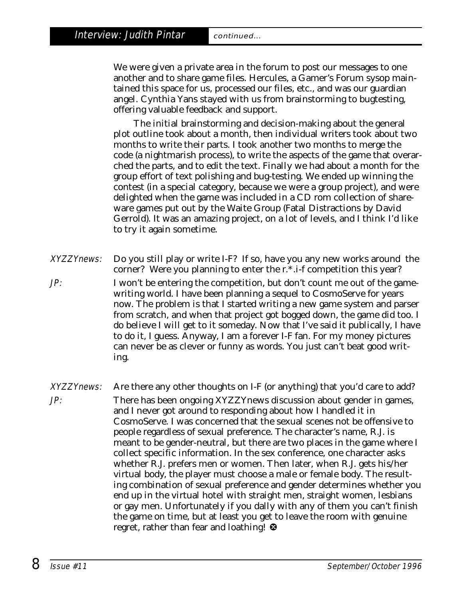ing.

We were given a private area in the forum to post our messages to one another and to share game files. Hercules, a Gamer's Forum sysop maintained this space for us, processed our files, etc., and was our guardian angel. Cynthia Yans stayed with us from brainstorming to bugtesting, offering valuable feedback and support.

The initial brainstorming and decision-making about the general plot outline took about a month, then individual writers took about two months to write their parts. I took another two months to merge the code (a nightmarish process), to write the aspects of the game that overarched the parts, and to edit the text. Finally we had about a month for the group effort of text polishing and bug-testing. We ended up winning the contest (in a special category, because we were a group project), and were delighted when the game was included in a CD rom collection of shareware games put out by the Waite Group (Fatal Distractions by David Gerrold). It was an amazing project, on a lot of levels, and I think I'd like to try it again sometime.

- XYZZYnews: Do you still play or write I-F? If so, have you any new works around the corner? Were you planning to enter the r.\*.i-f competition this year? JP: I won't be entering the competition, but don't count me out of the gamewriting world. I have been planning a sequel to CosmoServe for years now. The problem is that I started writing a new game system and parser from scratch, and when that project got bogged down, the game did too. I do believe I will get to it someday. Now that I've said it publically, I have to do it, I guess. Anyway, I am a forever I-F fan. For my money pictures can never be as clever or funny as words. You just can't beat good writ-
- XYZZYnews: Are there any other thoughts on I-F (or anything) that you'd care to add? JP: There has been ongoing *XYZZYnews* discussion about gender in games, and I never got around to responding about how I handled it in CosmoServe. I was concerned that the sexual scenes not be offensive to people regardless of sexual preference. The character's name, R.J. is meant to be gender-neutral, but there are two places in the game where I collect specific information. In the sex conference, one character asks whether R.J. prefers men or women. Then later, when R.J. gets his/her virtual body, the player must choose a male or female body. The resulting combination of sexual preference and gender determines whether you end up in the virtual hotel with straight men, straight women, lesbians or gay men. Unfortunately if you dally with any of them you can't finish the game on time, but at least you get to leave the room with genuine regret, rather than fear and loathing! <sup>3</sup>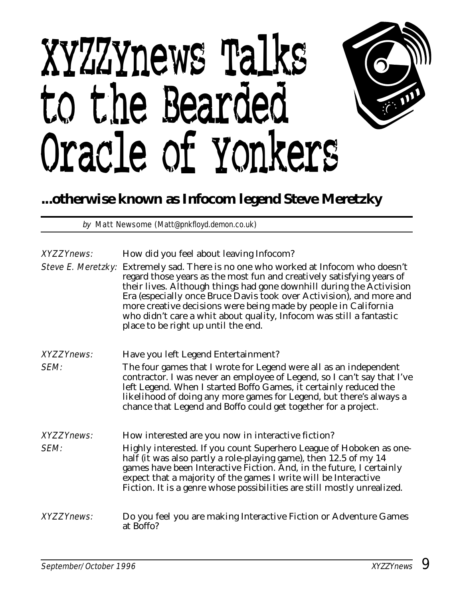# XYZZYnews Talks to the Bearded Oracle of Yonkers



## **...otherwise known as Infocom legend Steve Meretzky**

by Matt Newsome (Matt@pnkfloyd.demon.co.uk)

| <b>XYZZYnews:</b> | How did you feel about leaving Infocom?<br>Steve E. Meretzky: Extremely sad. There is no one who worked at Infocom who doesn't<br>regard those years as the most fun and creatively satisfying years of<br>their lives. Although things had gone downhill during the Activision<br>Era (especially once Bruce Davis took over Activision), and more and<br>more creative decisions were being made by people in California<br>who didn't care a whit about quality, Infocom was still a fantastic<br>place to be right up until the end. |
|-------------------|------------------------------------------------------------------------------------------------------------------------------------------------------------------------------------------------------------------------------------------------------------------------------------------------------------------------------------------------------------------------------------------------------------------------------------------------------------------------------------------------------------------------------------------|
| <b>XYZZYnews:</b> | Have you left Legend Entertainment?                                                                                                                                                                                                                                                                                                                                                                                                                                                                                                      |
| <b>SEM:</b>       | The four games that I wrote for Legend were all as an independent<br>contractor. I was never an employee of Legend, so I can't say that I've<br>left Legend. When I started Boffo Games, it certainly reduced the<br>likelihood of doing any more games for Legend, but there's always a<br>chance that Legend and Boffo could get together for a project.                                                                                                                                                                               |
| <b>XYZZYnews:</b> | How interested are you now in interactive fiction?                                                                                                                                                                                                                                                                                                                                                                                                                                                                                       |
| SEM:              | Highly interested. If you count Superhero League of Hoboken as one-<br>half (it was also partly a role-playing game), then 12.5 of my 14<br>games have been Interactive Fiction. And, in the future, I certainly<br>expect that a majority of the games I write will be Interactive<br>Fiction. It is a genre whose possibilities are still mostly unrealized.                                                                                                                                                                           |
| <b>XYZZYnews:</b> | Do you feel you are making Interactive Fiction or Adventure Games<br>at Boffo?                                                                                                                                                                                                                                                                                                                                                                                                                                                           |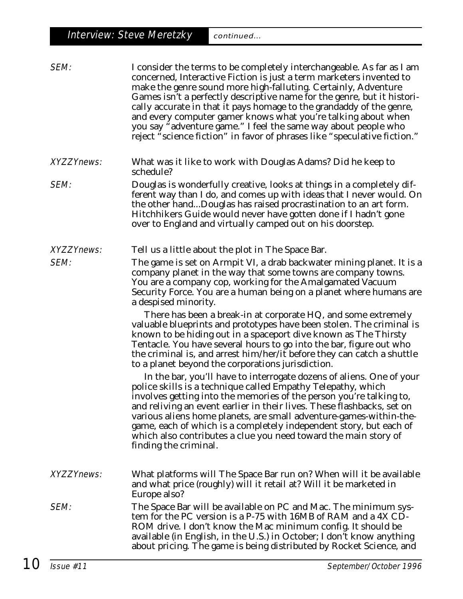| SEM:              | I consider the terms to be completely interchangeable. As far as I am<br>concerned, Interactive Fiction is just a term marketers invented to<br>make the genre sound more high-falluting. Certainly, Adventure<br>Games isn't a perfectly descriptive name for the genre, but it histori-<br>cally accurate in that it pays homage to the grandaddy of the genre,<br>and every computer gamer knows what you're talking about when<br>you say "adventure game." I feel the same way about people who<br>reject "science fiction" in favor of phrases like "speculative fiction."                                                                                                                                                                                                                                                                                                                                                                                                                                                                                                  |  |  |
|-------------------|-----------------------------------------------------------------------------------------------------------------------------------------------------------------------------------------------------------------------------------------------------------------------------------------------------------------------------------------------------------------------------------------------------------------------------------------------------------------------------------------------------------------------------------------------------------------------------------------------------------------------------------------------------------------------------------------------------------------------------------------------------------------------------------------------------------------------------------------------------------------------------------------------------------------------------------------------------------------------------------------------------------------------------------------------------------------------------------|--|--|
| <b>XYZZYnews:</b> | What was it like to work with Douglas Adams? Did he keep to<br>schedule?                                                                                                                                                                                                                                                                                                                                                                                                                                                                                                                                                                                                                                                                                                                                                                                                                                                                                                                                                                                                          |  |  |
| SEM:              | Douglas is wonderfully creative, looks at things in a completely dif-<br>ferent way than I do, and comes up with ideas that I never would. On<br>the other handDouglas has raised procrastination to an art form.<br>Hitchhikers Guide would never have gotten done if I hadn't gone<br>over to England and virtually camped out on his doorstep.                                                                                                                                                                                                                                                                                                                                                                                                                                                                                                                                                                                                                                                                                                                                 |  |  |
| <b>XYZZYnews:</b> | Tell us a little about the plot in The Space Bar.                                                                                                                                                                                                                                                                                                                                                                                                                                                                                                                                                                                                                                                                                                                                                                                                                                                                                                                                                                                                                                 |  |  |
| SEM:              | The game is set on Armpit VI, a drab backwater mining planet. It is a<br>company planet in the way that some towns are company towns.<br>You are a company cop, working for the Amalgamated Vacuum<br>Security Force. You are a human being on a planet where humans are<br>a despised minority.<br>There has been a break-in at corporate HQ, and some extremely<br>valuable blueprints and prototypes have been stolen. The criminal is<br>known to be hiding out in a spaceport dive known as The Thirsty<br>Tentacle. You have several hours to go into the bar, figure out who<br>the criminal is, and arrest him/her/it before they can catch a shuttle<br>to a planet beyond the corporations jurisdiction.<br>In the bar, you'll have to interrogate dozens of aliens. One of your<br>police skills is a technique called Empathy Telepathy, which<br>involves getting into the memories of the person you're talking to,<br>and reliving an event earlier in their lives. These flashbacks, set on<br>various aliens home planets, are small adventure-games-within-the- |  |  |
|                   | game, each of which is a completely independent story, but each of<br>which also contributes a clue you need toward the main story of<br>finding the criminal.                                                                                                                                                                                                                                                                                                                                                                                                                                                                                                                                                                                                                                                                                                                                                                                                                                                                                                                    |  |  |
| <b>XYZZYnews:</b> | What platforms will The Space Bar run on? When will it be available<br>and what price (roughly) will it retail at? Will it be marketed in<br>Europe also?                                                                                                                                                                                                                                                                                                                                                                                                                                                                                                                                                                                                                                                                                                                                                                                                                                                                                                                         |  |  |
| <b>SEM:</b>       | The Space Bar will be available on PC and Mac. The minimum sys-<br>tem for the PC version is a P-75 with 16MB of RAM and a 4X CD-<br>ROM drive. I don't know the Mac minimum config. It should be<br>available (in English, in the U.S.) in October; I don't know anything<br>about pricing. The game is being distributed by Rocket Science, and                                                                                                                                                                                                                                                                                                                                                                                                                                                                                                                                                                                                                                                                                                                                 |  |  |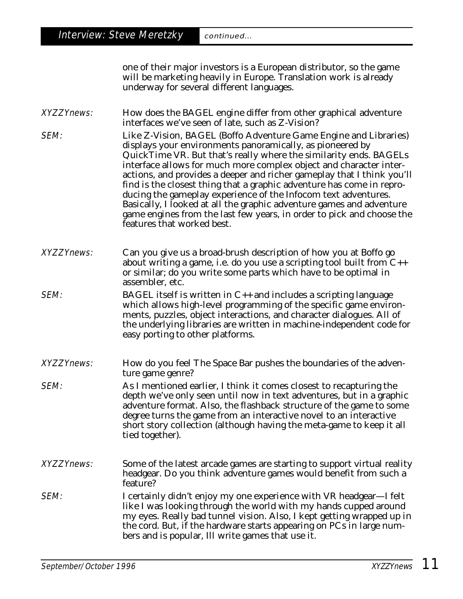one of their major investors is a European distributor, so the game will be marketing heavily in Europe. Translation work is already underway for several different languages.

XYZZYnews: How does the BAGEL engine differ from other graphical adventure interfaces we've seen of late, such as Z-Vision?

SEM: Like Z-Vision, BAGEL (Boffo Adventure Game Engine and Libraries) displays your environments panoramically, as pioneered by QuickTime VR. But that's really where the similarity ends. BAGELs interface allows for much more complex object and character interactions, and provides a deeper and richer gameplay that I think you'll find is the closest thing that a graphic adventure has come in reproducing the gameplay experience of the Infocom text adventures. Basically, I looked at all the graphic adventure games and adventure game engines from the last few years, in order to pick and choose the features that worked best.

XYZZYnews: Can you give us a broad-brush description of how you at Boffo go about writing a game, i.e. do you use a scripting tool built from  $C_{++}$ or similar; do you write some parts which have to be optimal in assembler, etc.

- **SEM:** BAGEL itself is written in  $C_{++}$  and includes a scripting language which allows high-level programming of the specific game environments, puzzles, object interactions, and character dialogues. All of the underlying libraries are written in machine-independent code for easy porting to other platforms.
- XYZZYnews: How do you feel The Space Bar pushes the boundaries of the adventure game genre?
- **SEM:** As I mentioned earlier, I think it comes closest to recapturing the depth we've only seen until now in text adventures, but in a graphic adventure format. Also, the flashback structure of the game to some degree turns the game from an interactive novel to an interactive short story collection (although having the meta-game to keep it all tied together).
- XYZZYnews: Some of the latest arcade games are starting to support virtual reality headgear. Do you think adventure games would benefit from such a feature?
- SEM: I certainly didn't enjoy my one experience with VR headgear—I felt like I was looking through the world with my hands cupped around my eyes. Really bad tunnel vision. Also, I kept getting wrapped up in the cord. But, if the hardware starts appearing on PCs in large numbers and is popular, Ill write games that use it.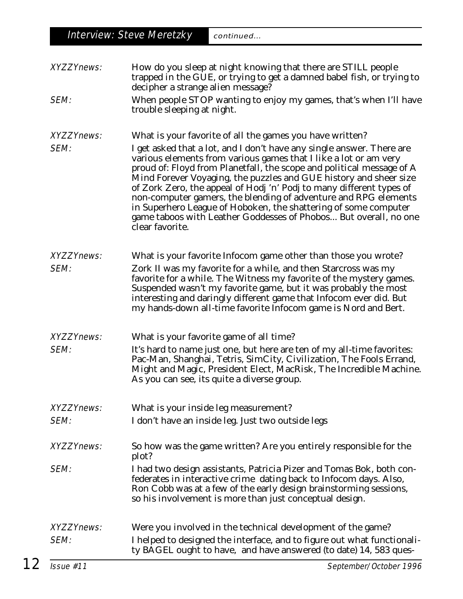|                   | <b>Interview: Steve Meretzky</b><br>continued                                                                                                                                                                                                                                                                                                                                                                                                                                                                                                                                                |  |  |  |
|-------------------|----------------------------------------------------------------------------------------------------------------------------------------------------------------------------------------------------------------------------------------------------------------------------------------------------------------------------------------------------------------------------------------------------------------------------------------------------------------------------------------------------------------------------------------------------------------------------------------------|--|--|--|
|                   |                                                                                                                                                                                                                                                                                                                                                                                                                                                                                                                                                                                              |  |  |  |
| <b>XYZZYnews:</b> | How do you sleep at night knowing that there are STILL people<br>trapped in the GUE, or trying to get a damned babel fish, or trying to<br>decipher a strange alien message?                                                                                                                                                                                                                                                                                                                                                                                                                 |  |  |  |
| SEM:              | When people STOP wanting to enjoy my games, that's when I'll have<br>trouble sleeping at night.                                                                                                                                                                                                                                                                                                                                                                                                                                                                                              |  |  |  |
| <b>XYZZYnews:</b> | What is your favorite of all the games you have written?                                                                                                                                                                                                                                                                                                                                                                                                                                                                                                                                     |  |  |  |
| SEM:              | I get asked that a lot, and I don't have any single answer. There are<br>various elements from various games that I like a lot or am very<br>proud of: Floyd from Planetfall, the scope and political message of A<br>Mind Forever Voyaging, the puzzles and GUE history and sheer size<br>of Zork Zero, the appeal of Hodj 'n' Podj to many different types of<br>non-computer gamers, the blending of adventure and RPG elements<br>in Superhero League of Hoboken, the shattering of some computer<br>game taboos with Leather Goddesses of Phobos But overall, no one<br>clear favorite. |  |  |  |
| <b>XYZZYnews:</b> | What is your favorite Infocom game other than those you wrote?                                                                                                                                                                                                                                                                                                                                                                                                                                                                                                                               |  |  |  |
| SEM:              | Zork II was my favorite for a while, and then Starcross was my<br>favorite for a while. The Witness my favorite of the mystery games.<br>Suspended wasn't my favorite game, but it was probably the most<br>interesting and daringly different game that Infocom ever did. But<br>my hands-down all-time favorite Infocom game is Nord and Bert.                                                                                                                                                                                                                                             |  |  |  |
| <b>XYZZYnews:</b> | What is your favorite game of all time?                                                                                                                                                                                                                                                                                                                                                                                                                                                                                                                                                      |  |  |  |
| SEM:              | It's hard to name just one, but here are ten of my all-time favorites:<br>Pac-Man, Shanghai, Tetris, SimCity, Civilization, The Fools Errand,<br>Might and Magic, President Elect, MacRisk, The Incredible Machine.<br>As you can see, its quite a diverse group.                                                                                                                                                                                                                                                                                                                            |  |  |  |
| <b>XYZZYnews:</b> | What is your inside leg measurement?                                                                                                                                                                                                                                                                                                                                                                                                                                                                                                                                                         |  |  |  |
| SEM:              | I don't have an inside leg. Just two outside legs                                                                                                                                                                                                                                                                                                                                                                                                                                                                                                                                            |  |  |  |
| <b>XYZZYnews:</b> | So how was the game written? Are you entirely responsible for the<br>plot?                                                                                                                                                                                                                                                                                                                                                                                                                                                                                                                   |  |  |  |
| SEM:              | I had two design assistants, Patricia Pizer and Tomas Bok, both con-<br>federates in interactive crime dating back to Infocom days. Also,<br>Ron Cobb was at a few of the early design brainstorming sessions,<br>so his involvement is more than just conceptual design.                                                                                                                                                                                                                                                                                                                    |  |  |  |
| <b>XYZZYnews:</b> | Were you involved in the technical development of the game?                                                                                                                                                                                                                                                                                                                                                                                                                                                                                                                                  |  |  |  |
| SEM:              | I helped to designed the interface, and to figure out what functionali-<br>ty BAGEL ought to have, and have answered (to date) 14, 583 ques-                                                                                                                                                                                                                                                                                                                                                                                                                                                 |  |  |  |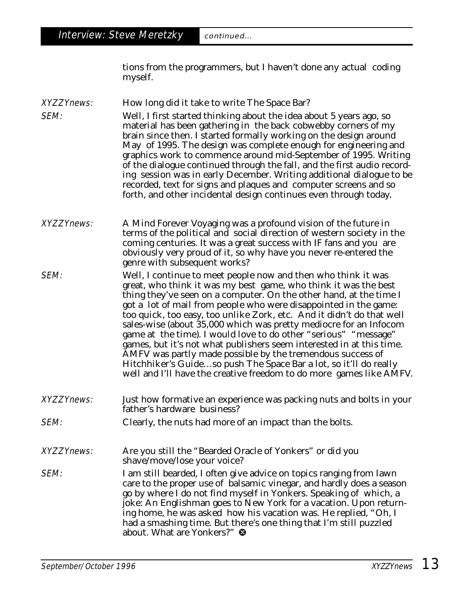tions from the programmers, but I haven't done any actual coding myself.

XYZZYnews: How long did it take to write The Space Bar?

**SEM:** Well, I first started thinking about the idea about 5 years ago, so material has been gathering in the back cobwebby corners of my brain since then. I started formally working on the design around May of 1995. The design was complete enough for engineering and graphics work to commence around mid-September of 1995. Writing of the dialogue continued through the fall, and the first audio recording session was in early December. Writing additional dialogue to be recorded, text for signs and plaques and computer screens and so forth, and other incidental design continues even through today.

XYZZYnews: A Mind Forever Voyaging was a profound vision of the future in terms of the political and social direction of western society in the coming centuries. It was a great success with IF fans and you are obviously very proud of it, so why have you never re-entered the genre with subsequent works?

SEM: Well, I continue to meet people now and then who think it was great, who think it was my best game, who think it was the best thing they've seen on a computer. On the other hand, at the time I got a lot of mail from people who were disappointed in the game: too quick, too easy, too unlike Zork, etc. And it didn't do that well sales-wise (about 35,000 which was pretty mediocre for an Infocom game at the time). I would love to do other "serious" "message" games, but it's not what publishers seem interested in at this time. AMFV was partly made possible by the tremendous success of Hitchhiker's Guide…so push The Space Bar a lot, so it'll do really well and I'll have the creative freedom to do more games like AMFV.

- XYZZYnews: Just how formative an experience was packing nuts and bolts in your father's hardware business?
- **SEM:** Clearly, the nuts had more of an impact than the bolts.
- XYZZYnews: Are you still the "Bearded Oracle of Yonkers" or did you shave/move/lose your voice?
- **SEM:** I am still bearded, I often give advice on topics ranging from lawn care to the proper use of balsamic vinegar, and hardly does a season go by where I do not find myself in Yonkers. Speaking of which, a joke: An Englishman goes to New York for a vacation. Upon returning home, he was asked how his vacation was. He replied, "Oh, I had a smashing time. But there's one thing that I'm still puzzled about. What are Yonkers?" <sup>®</sup>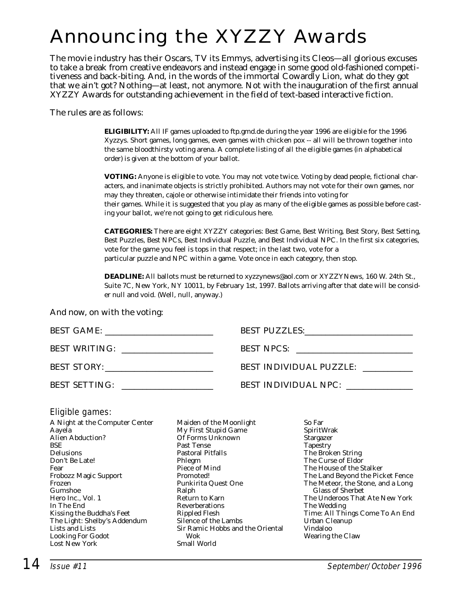# Announcing the XYZZY Awards

The movie industry has their Oscars, TV its Emmys, advertising its Cleos—all glorious excuses to take a break from creative endeavors and instead engage in some good old-fashioned competitiveness and back-biting. And, in the words of the immortal Cowardly Lion, what do they got that we ain't got? Nothing—at least, not anymore. Not with the inauguration of the first annual XYZZY Awards for outstanding achievement in the field of text-based interactive fiction.

The rules are as follows:

**ELIGIBILITY:** All IF games uploaded to ftp.gmd.de during the year 1996 are eligible for the 1996 Xyzzys. Short games, long games, even games with chicken pox -- all will be thrown together into the same bloodthirsty voting arena. A complete listing of all the eligible games (in alphabetical order) is given at the bottom of your ballot.

**VOTING:** Anyone is eligible to vote. You may not vote twice. Voting by dead people, fictional characters, and inanimate objects is strictly prohibited. Authors may not vote for their own games, nor may they threaten, cajole or otherwise intimidate their friends into voting for their games. While it is suggested that you play as many of the eligible games as possible before casting your ballot, we're not going to get ridiculous here.

**CATEGORIES:** There are eight XYZZY categories: Best Game, Best Writing, Best Story, Best Setting, Best Puzzles, Best NPCs, Best Individual Puzzle, and Best Individual NPC. In the first six categories, vote for the game you feel is tops in that respect; in the last two, vote for a particular puzzle and NPC within a game. Vote once in each category, then stop.

**DEADLINE:** All ballots must be returned to xyzzynews@aol.com or XYZZYNews, 160 W. 24th St., Suite 7C, New York, NY 10011, by February 1st, 1997. Ballots arriving after that date will be consider null and void. (Well, null, anyway.)

And now, on with the voting:

|                                                                                 | BEST PUZZLES: VERTICAL PUZZLES: |
|---------------------------------------------------------------------------------|---------------------------------|
| <b>BEST WRITING:</b><br><u> 1989 - Jan Barbara, martxa al II-lea (h. 1989).</u> | BEST NPCS:                      |
| BEST STORY:                                                                     | <b>BEST INDIVIDUAL PUZZLE:</b>  |
| <b>BEST SETTING:</b>                                                            | BEST INDIVIDUAL NPC:            |

#### Eligible games:

A Night at the Computer Center Aayela Alien Abduction? **BSE** Delusions Don't Be Late! Fear Frobozz Magic Support Frozen Gumshoe Hero Inc., Vol. 1 In The End Kissing the Buddha's Feet The Light: Shelby's Addendum Lists and Lists Looking For Godot Lost New York

Maiden of the Moonlight My First Stupid Game Of Forms Unknown Past Tense Pastoral Pitfalls Phlegm Piece of Mind Promoted! Punkirita Quest One Ralph Return to Karn Reverberations Rippled Flesh Silence of the Lambs Sir Ramic Hobbs and the Oriental Wok Small World

So Far SpiritWrak Stargazer **Tapestry** The Broken String The Curse of Eldor The House of the Stalker The Land Beyond the Picket Fence The Meteor, the Stone, and a Long Glass of Sherbet The Underoos That Ate New York The Wedding Time: All Things Come To An End Urban Cleanup Vindaloo Wearing the Claw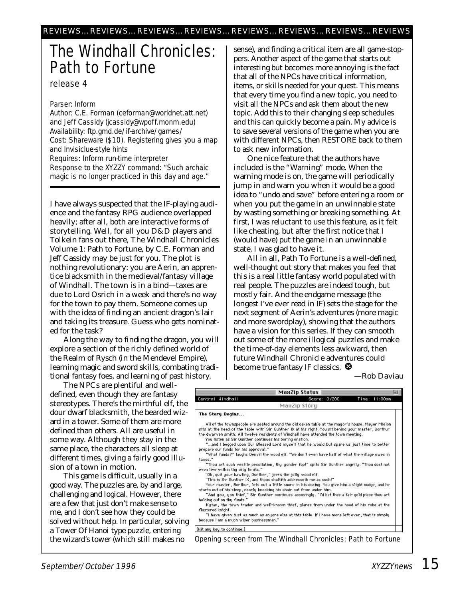## The Windhall Chronicles: Path to Fortune

release 4

#### Parser: Inform

Author: C.E. Forman (ceforman@worldnet.att.net) and Jeff Cassidy (jcassidy@wpoff.monm.edu) Availability: ftp.gmd.de/if-archive/games/ Cost: Shareware (\$10). Registering gives you a map and Invisiclue-style hints Requires: Inform run-time interpreter Response to the XYZZY command: "Such archaic magic is no longer practiced in this day and age."

I have always suspected that the IF-playing audience and the fantasy RPG audience overlapped heavily; after all, both are interactive forms of storytelling. Well, for all you D&D players and Tolkein fans out there, The Windhall Chronicles Volume 1: Path to Fortune, by C.E. Forman and Jeff Cassidy may be just for you. The plot is nothing revolutionary: you are Aerin, an apprentice blacksmith in the medieval/fantasy village of Windhall. The town is in a bind—taxes are due to Lord Osrich in a week and there's no way for the town to pay them. Someone comes up with the idea of finding an ancient dragon's lair and taking its treasure. Guess who gets nominated for the task?

Along the way to finding the dragon, you will explore a section of the richly defined world of the Realm of Rysch (in the Mendevel Empire), learning magic and sword skills, combating traditional fantasy foes, and learning of past history.

sense), and finding a critical item are all game-stoppers. Another aspect of the game that starts out interesting but becomes more annoying is the fact that all of the NPCs have critical information, items, or skills needed for your quest. This means that every time you find a new topic, you need to visit all the NPCs and ask them about the new topic. Add this to their changing sleep schedules and this can quickly become a pain. My advice is to save several versions of the game when you are with different NPCs, then RESTORE back to them to ask new information.

One nice feature that the authors have included is the "Warning" mode. When the warning mode is on, the game will periodically jump in and warn you when it would be a good idea to "undo and save" before entering a room or when you put the game in an unwinnable state by wasting something or breaking something. At first, I was reluctant to use this feature, as it felt like cheating, but after the first notice that I (would have) put the game in an unwinnable state, I was glad to have it.

All in all, Path To Fortune is a well-defined, well-thought out story that makes you feel that this is a real little fantasy world populated with real people. The puzzles are indeed tough, but mostly fair. And the endgame message (the longest I've ever read in IF) sets the stage for the next segment of Aerin's adventures (more magic and more swordplay), showing that the authors have a vision for this series. If they can smooth out some of the more illogical puzzles and make the time-of-day elements less awkward, then future Windhall Chronicle adventures could become true fantasy IF classics.  $\bullet$ 

*—Rob Daviau*

|                                                                                                                                                                                                                                                                                                                                                          | MaxZip Status |              |               |
|----------------------------------------------------------------------------------------------------------------------------------------------------------------------------------------------------------------------------------------------------------------------------------------------------------------------------------------------------------|---------------|--------------|---------------|
| Central Hindhall                                                                                                                                                                                                                                                                                                                                         |               | Score: 0/200 | Time: 11:00am |
|                                                                                                                                                                                                                                                                                                                                                          | MaxZip Story  |              |               |
| The Story Begins                                                                                                                                                                                                                                                                                                                                         |               |              |               |
| All of the townspeople are seated around the old oaken table at the mayor's house. Mayor Mielon<br>sits at the head of the table with Sir Gunther IX at his right. You sit behind your master, Borthur<br>the dwarven smith. All twelve residents of Windhall have attended the town meeting.<br>You listen as Sir Gunther continues his boring oration. |               |              |               |
| and I begged upon Our Blessed Lord myself that he would but spare us just time to better"<br>prepare our funds for his approval."<br>"What funds?" laughs Denvil the wood elf. "We don't even have half of what the village owes in                                                                                                                      |               |              |               |
| taxes."<br>"Thou art such vestile pessilation, thy yonder fop!" spits Sir Gunther angrily. "Thou dost not<br>even live within thu citu limits."                                                                                                                                                                                                          |               |              |               |
| "Oh, quit your bawling, Gunther," jeers the jolly wood elf.<br>"This is Sir Gunther IX, and thous shaltith addresseth me as such!"<br>Your master, Borthur, lets out a little snore in his dozing. You give him a slight nudge, and he                                                                                                                   |               |              |               |
| starts out of his sleep, nearly knocking his chair out from under him.<br>"And you, yon thief," Sir Gunther continues accusingly. "I'd bet thee a fair gold piece thou art                                                                                                                                                                               |               |              |               |
| holding out on thu funds."<br>Kytan, the town trader and well-known thief, glares from under the hood of his robe at the<br>flustered knight.                                                                                                                                                                                                            |               |              |               |
| "I have given just as much as anyone else at this table. If I have more left over , that is simply<br>because I am a much wiser businessman."                                                                                                                                                                                                            |               |              |               |
| [Hit any key to continue.]                                                                                                                                                                                                                                                                                                                               |               |              |               |

The NPCs are plentiful and welldefined, even though they are fantasy stereotypes. There's the mirthful elf, the dour dwarf blacksmith, the bearded wizard in a tower. Some of them are more defined than others. All are useful in some way. Although they stay in the same place, the characters all sleep at different times, giving a fairly good illusion of a town in motion.

This game is difficult, usually in a good way. The puzzles are, by and large, challenging and logical. However, there are a few that just don't make sense to me, and I don't see how they could be solved without help. In particular, solving a Tower Of Hanoi type puzzle, entering the wizard's tower (which still makes no